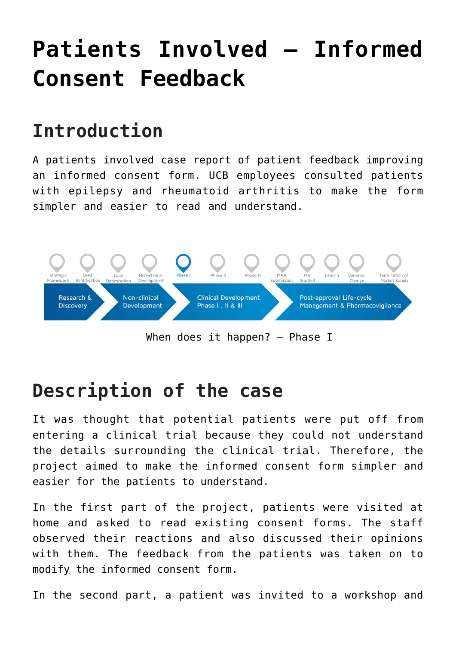# **[Patients Involved – Informed](https://toolbox.eupati.eu/resources/patients-involved-informed-consent-feedback/) [Consent Feedback](https://toolbox.eupati.eu/resources/patients-involved-informed-consent-feedback/)**

# **Introduction**

A patients involved case report of patient feedback improving an informed consent form. UCB employees consulted patients with epilepsy and rheumatoid arthritis to make the form simpler and easier to read and understand.



When does it happen? – Phase I

## **Description of the case**

It was thought that potential patients were put off from entering a clinical trial because they could not understand the details surrounding the clinical trial. Therefore, the project aimed to make the informed consent form simpler and easier for the patients to understand.

In the first part of the project, patients were visited at home and asked to read existing consent forms. The staff observed their reactions and also discussed their opinions with them. The feedback from the patients was taken on to modify the informed consent form.

In the second part, a patient was invited to a workshop and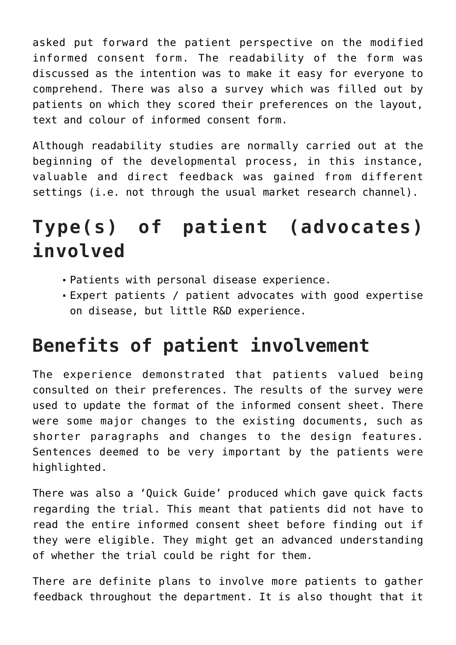asked put forward the patient perspective on the modified informed consent form. The readability of the form was discussed as the intention was to make it easy for everyone to comprehend. There was also a survey which was filled out by patients on which they scored their preferences on the layout, text and colour of informed consent form.

Although readability studies are normally carried out at the beginning of the developmental process, in this instance, valuable and direct feedback was gained from different settings (i.e. not through the usual market research channel).

# **Type(s) of patient (advocates) involved**

- Patients with personal disease experience.
- Expert patients / patient advocates with good expertise on disease, but little R&D experience.

#### **Benefits of patient involvement**

The experience demonstrated that patients valued being consulted on their preferences. The results of the survey were used to update the format of the informed consent sheet. There were some major changes to the existing documents, such as shorter paragraphs and changes to the design features. Sentences deemed to be very important by the patients were highlighted.

There was also a 'Quick Guide' produced which gave quick facts regarding the trial. This meant that patients did not have to read the entire informed consent sheet before finding out if they were eligible. They might get an advanced understanding of whether the trial could be right for them.

There are definite plans to involve more patients to gather feedback throughout the department. It is also thought that it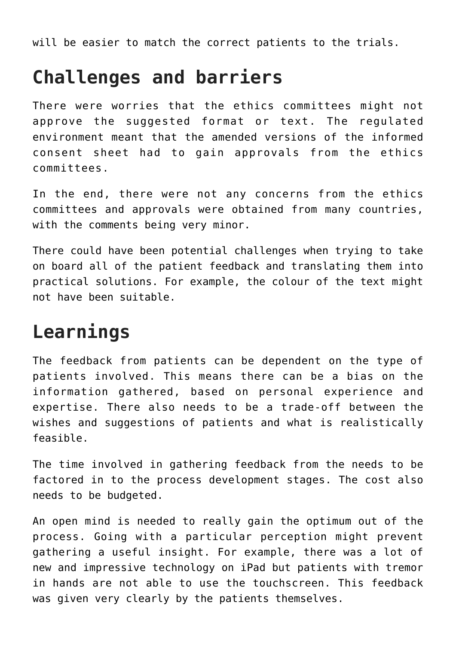will be easier to match the correct patients to the trials.

#### **Challenges and barriers**

There were worries that the ethics committees might not approve the suggested format or text. The regulated environment meant that the amended versions of the informed consent sheet had to gain approvals from the ethics committees.

In the end, there were not any concerns from the ethics committees and approvals were obtained from many countries, with the comments being very minor.

There could have been potential challenges when trying to take on board all of the patient feedback and translating them into practical solutions. For example, the colour of the text might not have been suitable.

## **Learnings**

The feedback from patients can be dependent on the type of patients involved. This means there can be a bias on the information gathered, based on personal experience and expertise. There also needs to be a trade-off between the wishes and suggestions of patients and what is realistically feasible.

The time involved in gathering feedback from the needs to be factored in to the process development stages. The cost also needs to be budgeted.

An open mind is needed to really gain the optimum out of the process. Going with a particular perception might prevent gathering a useful insight. For example, there was a lot of new and impressive technology on iPad but patients with tremor in hands are not able to use the touchscreen. This feedback was given very clearly by the patients themselves.